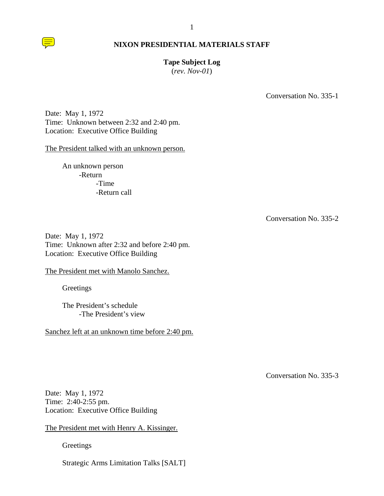

# **Tape Subject Log**

(*rev. Nov-01*)

Conversation No. 335-1

Date: May 1, 1972 Time: Unknown between 2:32 and 2:40 pm. Location: Executive Office Building

The President talked with an unknown person.

 An unknown person -Return -Time -Return call

Conversation No. 335-2

Date: May 1, 1972 Time: Unknown after 2:32 and before 2:40 pm. Location: Executive Office Building

The President met with Manolo Sanchez.

**Greetings** 

The President's schedule -The President's view

Sanchez left at an unknown time before 2:40 pm.

Conversation No. 335-3

Date: May 1, 1972 Time: 2:40-2:55 pm. Location: Executive Office Building

The President met with Henry A. Kissinger.

Greetings

Strategic Arms Limitation Talks [SALT]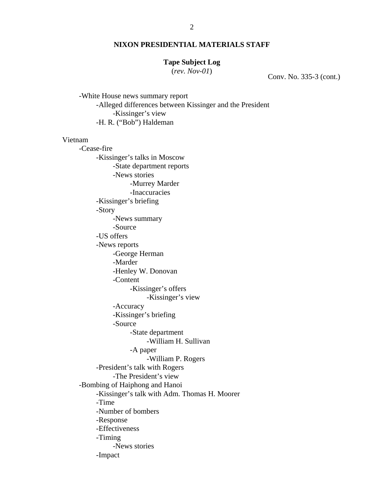#### **Tape Subject Log**

(*rev. Nov-01*) Conv. No. 335-3 (cont.)

-White House news summary report -Alleged differences between Kissinger and the President -Kissinger's view -H. R. ("Bob") Haldeman

#### Vietnam

-Cease-fire -Kissinger's talks in Moscow -State department reports -News stories -Murrey Marder -Inaccuracies -Kissinger's briefing -Story -News summary -Source -US offers -News reports -George Herman -Marder -Henley W. Donovan -Content -Kissinger's offers -Kissinger's view -Accuracy -Kissinger's briefing -Source -State department -William H. Sullivan -A paper -William P. Rogers -President's talk with Rogers -The President's view -Bombing of Haiphong and Hanoi -Kissinger's talk with Adm. Thomas H. Moorer -Time -Number of bombers -Response -Effectiveness -Timing -News stories -Impact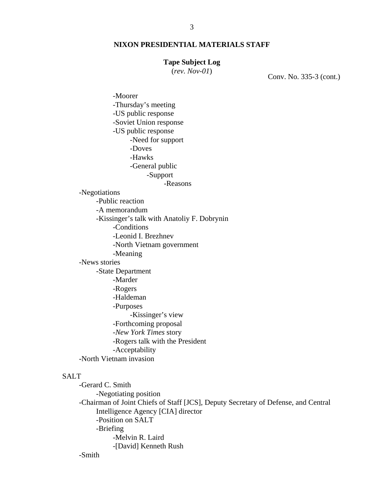#### **Tape Subject Log**

(*rev. Nov-01*) Conv. No. 335-3 (cont.)

-Moorer -Thursday's meeting -US public response -Soviet Union response -US public response -Need for support -Doves -Hawks -General public -Support -Reasons -Negotiations -Public reaction -A memorandum -Kissinger's talk with Anatoliy F. Dobrynin -Conditions -Leonid I. Brezhnev -North Vietnam government -Meaning -News stories -State Department -Marder -Rogers -Haldeman -Purposes -Kissinger's view -Forthcoming proposal -*New York Times* story -Rogers talk with the President -Acceptability -North Vietnam invasion SALT -Gerard C. Smith -Negotiating position -Chairman of Joint Chiefs of Staff [JCS], Deputy Secretary of Defense, and Central Intelligence Agency [CIA] director -Position on SALT -Briefing

-[David] Kenneth Rush

-Melvin R. Laird

-Smith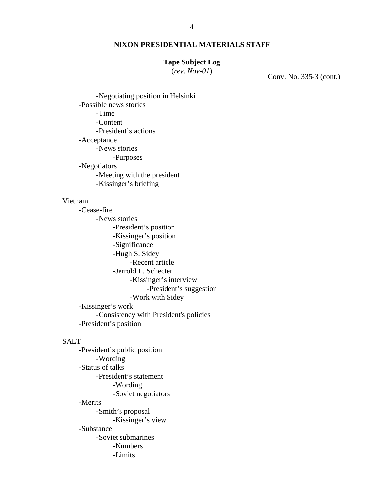## **Tape Subject Log**

(*rev. Nov-01*) Conv. No. 335-3 (cont.)

-Negotiating position in Helsinki -Possible news stories -Time -Content -President's actions -Acceptance -News stories -Purposes -Negotiators -Meeting with the president -Kissinger's briefing

# Vietnam

-Cease-fire -News stories -President's position -Kissinger's position -Significance -Hugh S. Sidey -Recent article -Jerrold L. Schecter -Kissinger's interview -President's suggestion -Work with Sidey -Kissinger's work -Consistency with President's policies -President's position

# SALT

-President's public position -Wording -Status of talks -President's statement -Wording -Soviet negotiators -Merits -Smith's proposal -Kissinger's view -Substance -Soviet submarines -Numbers -Limits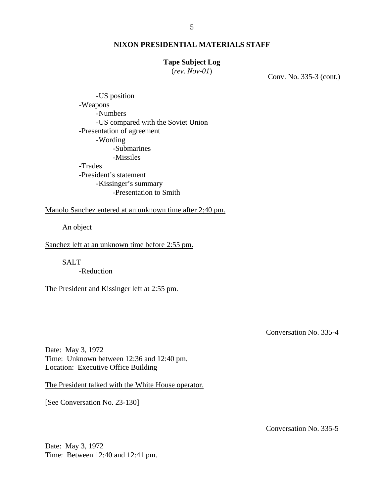#### **Tape Subject Log**

(*rev. Nov-01*) Conv. No. 335-3 (cont.)

-US position -Weapons -Numbers -US compared with the Soviet Union -Presentation of agreement -Wording -Submarines -Missiles -Trades -President's statement -Kissinger's summary -Presentation to Smith

Manolo Sanchez entered at an unknown time after 2:40 pm.

An object

Sanchez left at an unknown time before 2:55 pm.

SALT -Reduction

The President and Kissinger left at 2:55 pm.

Conversation No. 335-4

Date: May 3, 1972 Time: Unknown between 12:36 and 12:40 pm. Location: Executive Office Building

The President talked with the White House operator.

[See Conversation No. 23-130]

Conversation No. 335-5

Date: May 3, 1972 Time: Between 12:40 and 12:41 pm.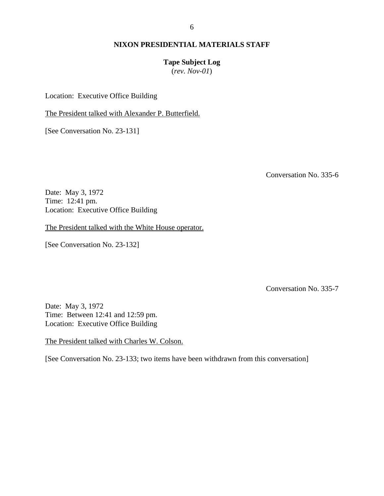#### 6

# **NIXON PRESIDENTIAL MATERIALS STAFF**

# **Tape Subject Log**

(*rev. Nov-01*)

Location: Executive Office Building

The President talked with Alexander P. Butterfield.

[See Conversation No. 23-131]

Conversation No. 335-6

Date: May 3, 1972 Time: 12:41 pm. Location: Executive Office Building

The President talked with the White House operator.

[See Conversation No. 23-132]

Conversation No. 335-7

Date: May 3, 1972 Time: Between 12:41 and 12:59 pm. Location: Executive Office Building

The President talked with Charles W. Colson.

[See Conversation No. 23-133; two items have been withdrawn from this conversation]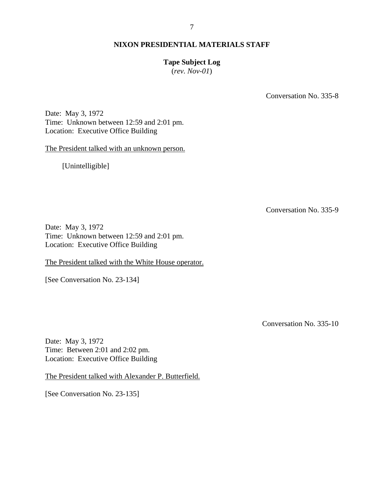# **Tape Subject Log**

(*rev. Nov-01*)

Conversation No. 335-8

Date: May 3, 1972 Time: Unknown between 12:59 and 2:01 pm. Location: Executive Office Building

The President talked with an unknown person.

[Unintelligible]

Conversation No. 335-9

Date: May 3, 1972 Time: Unknown between 12:59 and 2:01 pm. Location: Executive Office Building

The President talked with the White House operator.

[See Conversation No. 23-134]

Conversation No. 335-10

Date: May 3, 1972 Time: Between 2:01 and 2:02 pm. Location: Executive Office Building

The President talked with Alexander P. Butterfield.

[See Conversation No. 23-135]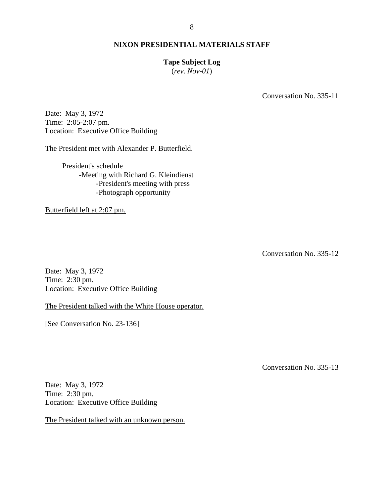# **Tape Subject Log**

(*rev. Nov-01*)

Conversation No. 335-11

Date: May 3, 1972 Time: 2:05-2:07 pm. Location: Executive Office Building

The President met with Alexander P. Butterfield.

President's schedule -Meeting with Richard G. Kleindienst -President's meeting with press -Photograph opportunity

Butterfield left at 2:07 pm.

Conversation No. 335-12

Date: May 3, 1972 Time: 2:30 pm. Location: Executive Office Building

The President talked with the White House operator.

[See Conversation No. 23-136]

Conversation No. 335-13

Date: May 3, 1972 Time: 2:30 pm. Location: Executive Office Building

The President talked with an unknown person.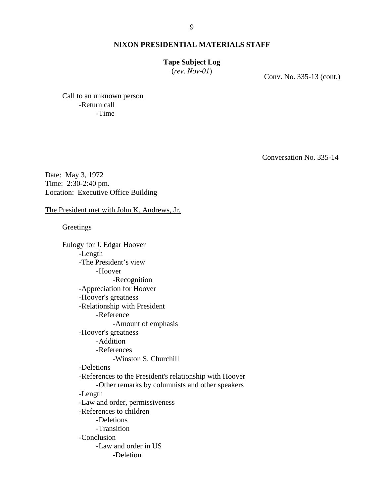#### **Tape Subject Log**

(*rev. Nov-01*) Conv. No. 335-13 (cont.)

Call to an unknown person -Return call -Time

Conversation No. 335-14

Date: May 3, 1972 Time: 2:30-2:40 pm. Location: Executive Office Building

The President met with John K. Andrews, Jr.

**Greetings** 

Eulogy for J. Edgar Hoover -Length -The President's view -Hoover -Recognition -Appreciation for Hoover -Hoover's greatness -Relationship with President -Reference -Amount of emphasis -Hoover's greatness -Addition -References -Winston S. Churchill -Deletions -References to the President's relationship with Hoover -Other remarks by columnists and other speakers -Length -Law and order, permissiveness -References to children -Deletions -Transition -Conclusion -Law and order in US -Deletion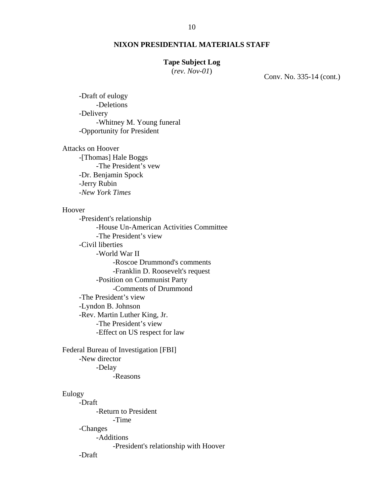#### **Tape Subject Log**

(*rev. Nov-01*) Conv. No. 335-14 (cont.)

-Draft of eulogy -Deletions -Delivery -Whitney M. Young funeral -Opportunity for President

Attacks on Hoover -[Thomas] Hale Boggs -The President's vew -Dr. Benjamin Spock -Jerry Rubin -*New York Times*

# Hoover

-President's relationship -House Un-American Activities Committee -The President's view -Civil liberties -World War II -Roscoe Drummond's comments -Franklin D. Roosevelt's request -Position on Communist Party -Comments of Drummond -The President's view -Lyndon B. Johnson -Rev. Martin Luther King, Jr. -The President's view -Effect on US respect for law

Federal Bureau of Investigation [FBI] -New director -Delay -Reasons

# Eulogy

-Draft -Return to President -Time -Changes -Additions -President's relationship with Hoover -Draft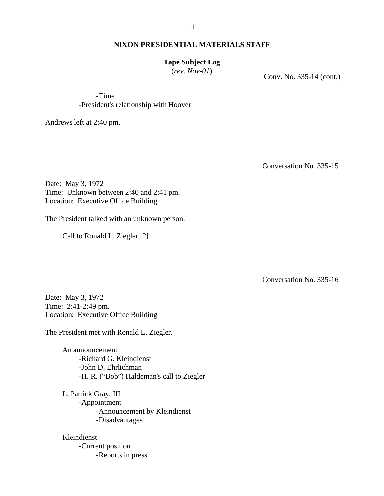#### 11

# **NIXON PRESIDENTIAL MATERIALS STAFF**

## **Tape Subject Log**

(*rev. Nov-01*) Conv. No. 335-14 (cont.)

-Time -President's relationship with Hoover

Andrews left at 2:40 pm.

Conversation No. 335-15

Date: May 3, 1972 Time: Unknown between 2:40 and 2:41 pm. Location: Executive Office Building

The President talked with an unknown person.

Call to Ronald L. Ziegler [?]

Conversation No. 335-16

Date: May 3, 1972 Time: 2:41-2:49 pm. Location: Executive Office Building

The President met with Ronald L. Ziegler.

An announcement -Richard G. Kleindienst -John D. Ehrlichman -H. R. ("Bob") Haldeman's call to Ziegler

L. Patrick Gray, III -Appointment -Announcement by Kleindienst -Disadvantages

Kleindienst -Current position -Reports in press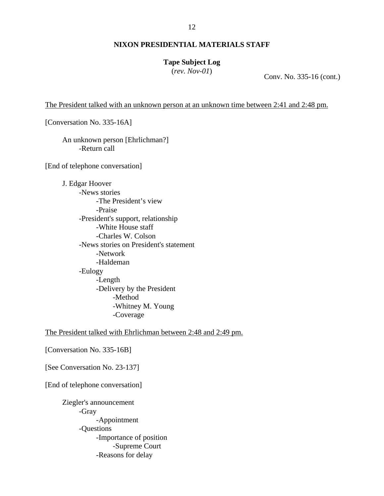# **Tape Subject Log**

(*rev. Nov-01*) Conv. No. 335-16 (cont.)

The President talked with an unknown person at an unknown time between 2:41 and 2:48 pm.

[Conversation No. 335-16A]

An unknown person [Ehrlichman?] -Return call

[End of telephone conversation]

J. Edgar Hoover -News stories -The President's view -Praise -President's support, relationship -White House staff -Charles W. Colson -News stories on President's statement -Network -Haldeman -Eulogy -Length -Delivery by the President -Method -Whitney M. Young -Coverage

The President talked with Ehrlichman between 2:48 and 2:49 pm.

[Conversation No. 335-16B]

[See Conversation No. 23-137]

[End of telephone conversation]

Ziegler's announcement -Gray -Appointment -Questions -Importance of position -Supreme Court -Reasons for delay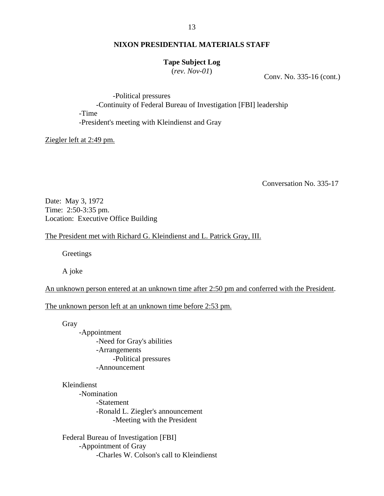#### **Tape Subject Log**

(*rev. Nov-01*) Conv. No. 335-16 (cont.)

-Political pressures -Continuity of Federal Bureau of Investigation [FBI] leadership -Time -President's meeting with Kleindienst and Gray

Ziegler left at 2:49 pm.

Conversation No. 335-17

Date: May 3, 1972 Time: 2:50-3:35 pm. Location: Executive Office Building

The President met with Richard G. Kleindienst and L. Patrick Gray, III.

Greetings

A joke

An unknown person entered at an unknown time after 2:50 pm and conferred with the President.

The unknown person left at an unknown time before 2:53 pm.

Gray

-Appointment -Need for Gray's abilities -Arrangements -Political pressures -Announcement

Kleindienst -Nomination -Statement -Ronald L. Ziegler's announcement -Meeting with the President

Federal Bureau of Investigation [FBI] -Appointment of Gray -Charles W. Colson's call to Kleindienst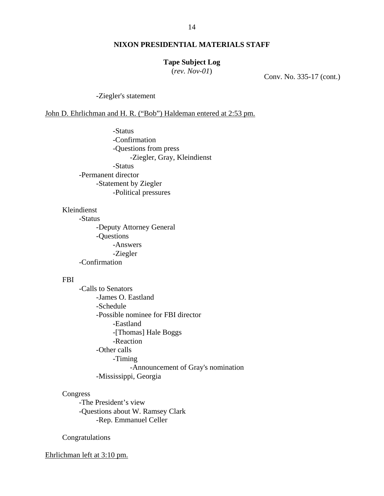#### **Tape Subject Log**

(*rev. Nov-01*) Conv. No. 335-17 (cont.)

-Ziegler's statement

John D. Ehrlichman and H. R. ("Bob") Haldeman entered at 2:53 pm.

-Status -Confirmation -Questions from press -Ziegler, Gray, Kleindienst -Status -Permanent director -Statement by Ziegler -Political pressures

# Kleindienst

-Status -Deputy Attorney General -Questions -Answers -Ziegler -Confirmation

#### FBI

-Calls to Senators -James O. Eastland -Schedule -Possible nominee for FBI director -Eastland -[Thomas] Hale Boggs -Reaction -Other calls -Timing -Announcement of Gray's nomination -Mississippi, Georgia

# Congress

-The President's view -Questions about W. Ramsey Clark -Rep. Emmanuel Celler

Congratulations

Ehrlichman left at 3:10 pm.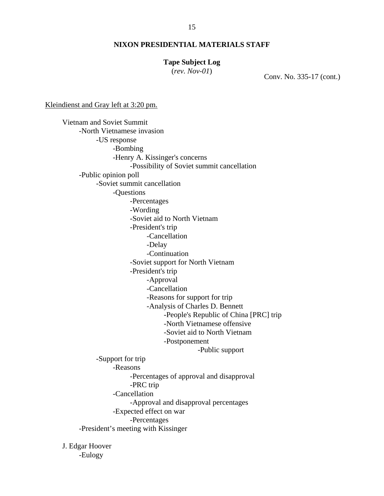# **Tape Subject Log**

(*rev. Nov-01*) Conv. No. 335-17 (cont.)

Kleindienst and Gray left at 3:20 pm.

Vietnam and Soviet Summit -North Vietnamese invasion -US response -Bombing -Henry A. Kissinger's concerns -Possibility of Soviet summit cancellation -Public opinion poll -Soviet summit cancellation -Questions -Percentages -Wording -Soviet aid to North Vietnam -President's trip -Cancellation -Delay -Continuation -Soviet support for North Vietnam -President's trip -Approval -Cancellation -Reasons for support for trip -Analysis of Charles D. Bennett -People's Republic of China [PRC] trip -North Vietnamese offensive -Soviet aid to North Vietnam -Postponement -Public support -Support for trip -Reasons -Percentages of approval and disapproval -PRC trip -Cancellation -Approval and disapproval percentages -Expected effect on war -Percentages -President's meeting with Kissinger

J. Edgar Hoover -Eulogy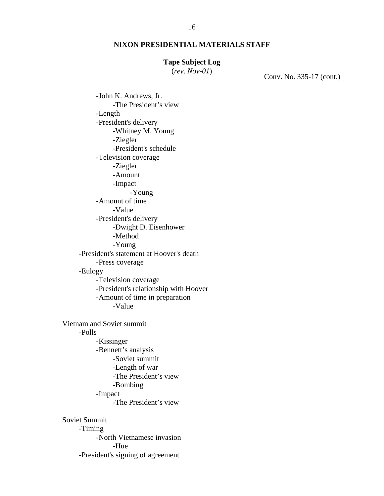## **Tape Subject Log**

(*rev. Nov-01*) Conv. No. 335-17 (cont.)

-John K. Andrews, Jr. -The President's view -Length -President's delivery -Whitney M. Young -Ziegler -President's schedule -Television coverage -Ziegler -Amount -Impact -Young -Amount of time -Value -President's delivery -Dwight D. Eisenhower -Method -Young -President's statement at Hoover's death -Press coverage -Eulogy -Television coverage -President's relationship with Hoover -Amount of time in preparation -Value Vietnam and Soviet summit -Polls -Kissinger -Bennett's analysis -Soviet summit -Length of war -The President's view -Bombing -Impact -The President's view Soviet Summit -Timing -North Vietnamese invasion -Hue -President's signing of agreement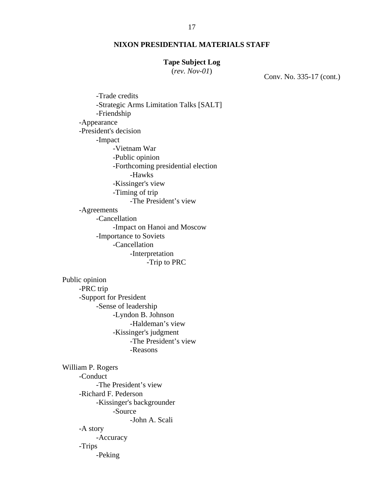# **Tape Subject Log**

(*rev. Nov-01*) Conv. No. 335-17 (cont.)

 -Trade credits -Strategic Arms Limitation Talks [SALT] -Friendship -Appearance -President's decision -Impact -Vietnam War -Public opinion -Forthcoming presidential election -Hawks -Kissinger's view -Timing of trip -The President's view -Agreements -Cancellation -Impact on Hanoi and Moscow -Importance to Soviets -Cancellation -Interpretation -Trip to PRC

Public opinion -PRC trip -Support for President -Sense of leadership -Lyndon B. Johnson -Haldeman's view -Kissinger's judgment -The President's view -Reasons

William P. Rogers -Conduct -The President's view -Richard F. Pederson -Kissinger's backgrounder -Source -John A. Scali -A story -Accuracy -Trips -Peking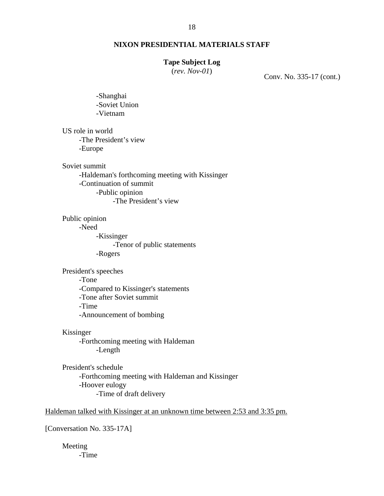#### **Tape Subject Log**

(*rev. Nov-01*) Conv. No. 335-17 (cont.)

-Shanghai -Soviet Union -Vietnam

US role in world -The President's view -Europe

Soviet summit

-Haldeman's forthcoming meeting with Kissinger -Continuation of summit -Public opinion -The President's view

Public opinion

-Need

-Kissinger

-Tenor of public statements -Rogers

President's speeches -Tone -Compared to Kissinger's statements -Tone after Soviet summit -Time

-Announcement of bombing

#### Kissinger

-Forthcoming meeting with Haldeman -Length

President's schedule -Forthcoming meeting with Haldeman and Kissinger -Hoover eulogy -Time of draft delivery

Haldeman talked with Kissinger at an unknown time between 2:53 and 3:35 pm.

[Conversation No. 335-17A]

Meeting -Time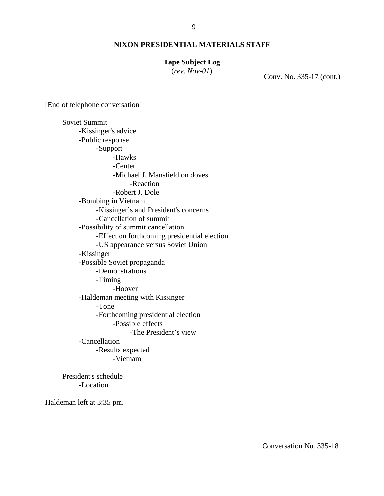# **Tape Subject Log**

(*rev. Nov-01*) Conv. No. 335-17 (cont.)

[End of telephone conversation]

Soviet Summit -Kissinger's advice -Public response -Support -Hawks -Center -Michael J. Mansfield on doves -Reaction -Robert J. Dole -Bombing in Vietnam -Kissinger's and President's concerns -Cancellation of summit -Possibility of summit cancellation -Effect on forthcoming presidential election -US appearance versus Soviet Union -Kissinger -Possible Soviet propaganda -Demonstrations -Timing -Hoover -Haldeman meeting with Kissinger -Tone -Forthcoming presidential election -Possible effects -The President's view -Cancellation -Results expected -Vietnam

President's schedule -Location

Haldeman left at 3:35 pm.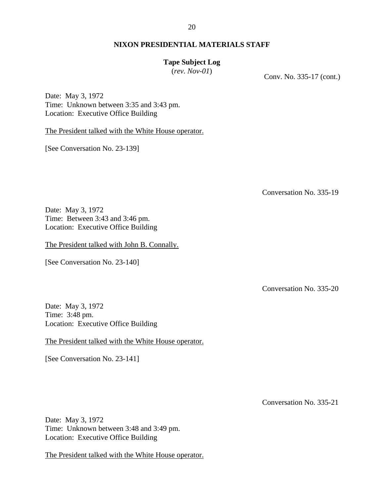# **Tape Subject Log**

(*rev. Nov-01*) Conv. No. 335-17 (cont.)

Date: May 3, 1972 Time: Unknown between 3:35 and 3:43 pm. Location: Executive Office Building

The President talked with the White House operator.

[See Conversation No. 23-139]

Conversation No. 335-19

Date: May 3, 1972 Time: Between 3:43 and 3:46 pm. Location: Executive Office Building

The President talked with John B. Connally.

[See Conversation No. 23-140]

Conversation No. 335-20

Date: May 3, 1972 Time: 3:48 pm. Location: Executive Office Building

The President talked with the White House operator.

[See Conversation No. 23-141]

Conversation No. 335-21

Date: May 3, 1972 Time: Unknown between 3:48 and 3:49 pm. Location: Executive Office Building

The President talked with the White House operator.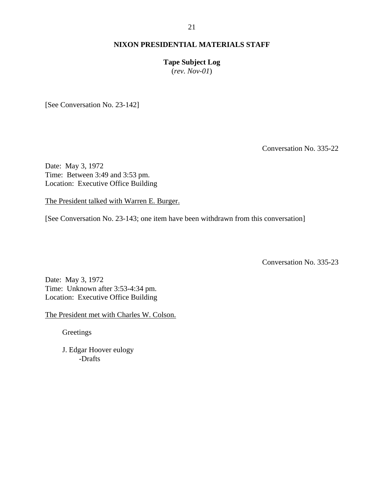# **Tape Subject Log**

(*rev. Nov-01*)

[See Conversation No. 23-142]

Conversation No. 335-22

Date: May 3, 1972 Time: Between 3:49 and 3:53 pm. Location: Executive Office Building

The President talked with Warren E. Burger.

[See Conversation No. 23-143; one item have been withdrawn from this conversation]

Conversation No. 335-23

Date: May 3, 1972 Time: Unknown after 3:53-4:34 pm. Location: Executive Office Building

The President met with Charles W. Colson.

**Greetings** 

J. Edgar Hoover eulogy -Drafts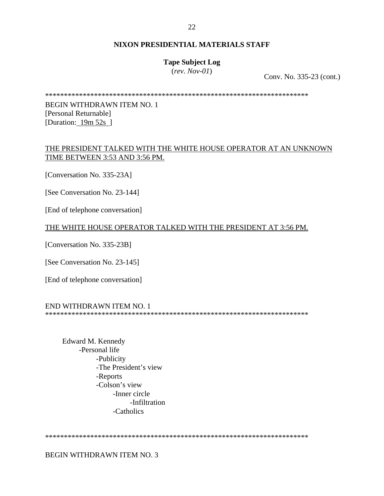# **Tape Subject Log**

(*rev. Nov-01*) Conv. No. 335-23 (cont.)

\*\*\*\*\*\*\*\*\*\*\*\*\*\*\*\*\*\*\*\*\*\*\*\*\*\*\*\*\*\*\*\*\*\*\*\*\*\*\*\*\*\*\*\*\*\*\*\*\*\*\*\*\*\*\*\*\*\*\*\*\*\*\*\*\*\*\*\*\*\*

BEGIN WITHDRAWN ITEM NO. 1 [Personal Returnable] [Duration: 19m 52s ]

# THE PRESIDENT TALKED WITH THE WHITE HOUSE OPERATOR AT AN UNKNOWN TIME BETWEEN 3:53 AND 3:56 PM.

[Conversation No. 335-23A]

[See Conversation No. 23-144]

[End of telephone conversation]

# THE WHITE HOUSE OPERATOR TALKED WITH THE PRESIDENT AT 3:56 PM.

[Conversation No. 335-23B]

[See Conversation No. 23-145]

[End of telephone conversation]

## END WITHDRAWN ITEM NO. 1

\*\*\*\*\*\*\*\*\*\*\*\*\*\*\*\*\*\*\*\*\*\*\*\*\*\*\*\*\*\*\*\*\*\*\*\*\*\*\*\*\*\*\*\*\*\*\*\*\*\*\*\*\*\*\*\*\*\*\*\*\*\*\*\*\*\*\*\*\*\*

 Edward M. Kennedy -Personal life -Publicity -The President's view -Reports -Colson's view -Inner circle -Infiltration -Catholics

\*\*\*\*\*\*\*\*\*\*\*\*\*\*\*\*\*\*\*\*\*\*\*\*\*\*\*\*\*\*\*\*\*\*\*\*\*\*\*\*\*\*\*\*\*\*\*\*\*\*\*\*\*\*\*\*\*\*\*\*\*\*\*\*\*\*\*\*\*\*

BEGIN WITHDRAWN ITEM NO. 3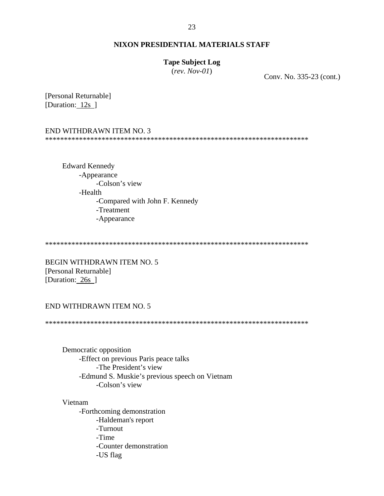## **Tape Subject Log**

(*rev. Nov-01*) Conv. No. 335-23 (cont.)

[Personal Returnable] [Duration: 12s ]

#### END WITHDRAWN ITEM NO. 3

\*\*\*\*\*\*\*\*\*\*\*\*\*\*\*\*\*\*\*\*\*\*\*\*\*\*\*\*\*\*\*\*\*\*\*\*\*\*\*\*\*\*\*\*\*\*\*\*\*\*\*\*\*\*\*\*\*\*\*\*\*\*\*\*\*\*\*\*\*\*

 Edward Kennedy -Appearance -Colson's view -Health -Compared with John F. Kennedy -Treatment -Appearance

\*\*\*\*\*\*\*\*\*\*\*\*\*\*\*\*\*\*\*\*\*\*\*\*\*\*\*\*\*\*\*\*\*\*\*\*\*\*\*\*\*\*\*\*\*\*\*\*\*\*\*\*\*\*\*\*\*\*\*\*\*\*\*\*\*\*\*\*\*\*

BEGIN WITHDRAWN ITEM NO. 5 [Personal Returnable] [Duration: 26s ]

#### END WITHDRAWN ITEM NO. 5

\*\*\*\*\*\*\*\*\*\*\*\*\*\*\*\*\*\*\*\*\*\*\*\*\*\*\*\*\*\*\*\*\*\*\*\*\*\*\*\*\*\*\*\*\*\*\*\*\*\*\*\*\*\*\*\*\*\*\*\*\*\*\*\*\*\*\*\*\*\*

 Democratic opposition -Effect on previous Paris peace talks -The President's view -Edmund S. Muskie's previous speech on Vietnam -Colson's view

#### Vietnam

-Forthcoming demonstration -Haldeman's report -Turnout -Time -Counter demonstration -US flag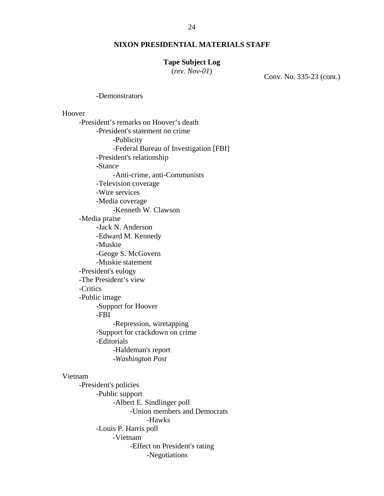## **Tape Subject Log**

(*rev. Nov-01*) Conv. No. 335-23 (cont.)

#### -Demonstrators

## Hoover

-President's remarks on Hoover's death -President's statement on crime -Publicity -Federal Bureau of Investigation [FBI] -President's relationship -Stance -Anti-crime, anti-Communists -Television coverage -Wire services -Media coverage -Kenneth W. Clawson -Media praise -Jack N. Anderson -Edward M. Kennedy -Muskie -Geoge S. McGovern -Muskie statement -President's eulogy -The President's view -Critics -Public image -Support for Hoover -FBI -Repression, wiretapping -Support for crackdown on crime -Editorials -Haldeman's report -*Washington Post*

## Vietnam

-President's policies -Public support -Albert E. Sindlinger poll -Union members and Democrats -Hawks -Louis P. Harris poll -Vietnam -Effect on President's rating -Negotiations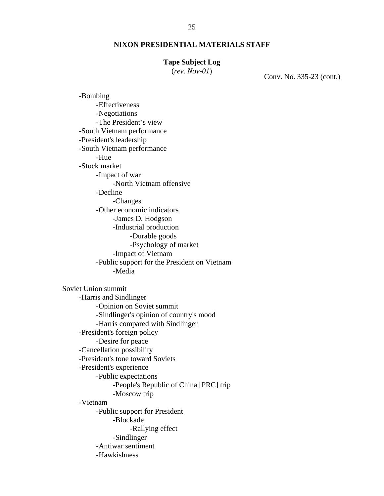#### **Tape Subject Log**

(*rev. Nov-01*) Conv. No. 335-23 (cont.)

-Bombing -Effectiveness -Negotiations -The President's view -South Vietnam performance -President's leadership -South Vietnam performance -Hue -Stock market -Impact of war -North Vietnam offensive -Decline -Changes -Other economic indicators -James D. Hodgson -Industrial production -Durable goods -Psychology of market -Impact of Vietnam -Public support for the President on Vietnam -Media Soviet Union summit -Harris and Sindlinger -Opinion on Soviet summit -Sindlinger's opinion of country's mood -Harris compared with Sindlinger -President's foreign policy -Desire for peace -Cancellation possibility -President's tone toward Soviets -President's experience -Public expectations -People's Republic of China [PRC] trip -Moscow trip -Vietnam -Public support for President -Blockade -Rallying effect -Sindlinger -Antiwar sentiment -Hawkishness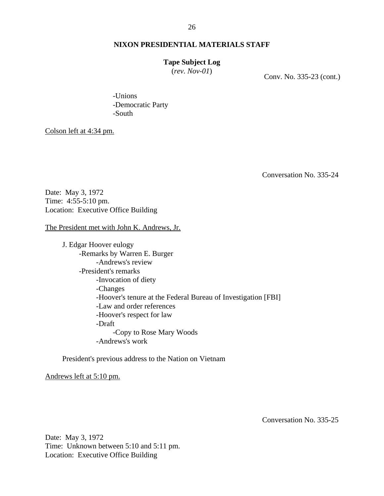## **Tape Subject Log**

(*rev. Nov-01*) Conv. No. 335-23 (cont.)

-Unions -Democratic Party -South

Colson left at 4:34 pm.

Conversation No. 335-24

Date: May 3, 1972 Time: 4:55-5:10 pm. Location: Executive Office Building

The President met with John K. Andrews, Jr.

J. Edgar Hoover eulogy -Remarks by Warren E. Burger -Andrews's review -President's remarks -Invocation of diety -Changes -Hoover's tenure at the Federal Bureau of Investigation [FBI] -Law and order references -Hoover's respect for law -Draft -Copy to Rose Mary Woods -Andrews's work

President's previous address to the Nation on Vietnam

Andrews left at 5:10 pm.

Conversation No. 335-25

Date: May 3, 1972 Time: Unknown between 5:10 and 5:11 pm. Location: Executive Office Building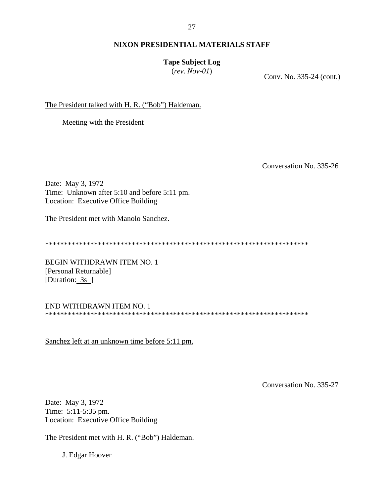## 27

# **NIXON PRESIDENTIAL MATERIALS STAFF**

# **Tape Subject Log**

(*rev. Nov-01*) Conv. No. 335-24 (cont.)

The President talked with H. R. ("Bob") Haldeman.

Meeting with the President

Conversation No. 335-26

Date: May 3, 1972 Time: Unknown after 5:10 and before 5:11 pm. Location: Executive Office Building

The President met with Manolo Sanchez.

\*\*\*\*\*\*\*\*\*\*\*\*\*\*\*\*\*\*\*\*\*\*\*\*\*\*\*\*\*\*\*\*\*\*\*\*\*\*\*\*\*\*\*\*\*\*\*\*\*\*\*\*\*\*\*\*\*\*\*\*\*\*\*\*\*\*\*\*\*\*

BEGIN WITHDRAWN ITEM NO. 1 [Personal Returnable] [Duration: 3s ]

END WITHDRAWN ITEM NO. 1 \*\*\*\*\*\*\*\*\*\*\*\*\*\*\*\*\*\*\*\*\*\*\*\*\*\*\*\*\*\*\*\*\*\*\*\*\*\*\*\*\*\*\*\*\*\*\*\*\*\*\*\*\*\*\*\*\*\*\*\*\*\*\*\*\*\*\*\*\*\*

Sanchez left at an unknown time before 5:11 pm.

Conversation No. 335-27

Date: May 3, 1972 Time: 5:11-5:35 pm. Location: Executive Office Building

The President met with H. R. ("Bob") Haldeman.

J. Edgar Hoover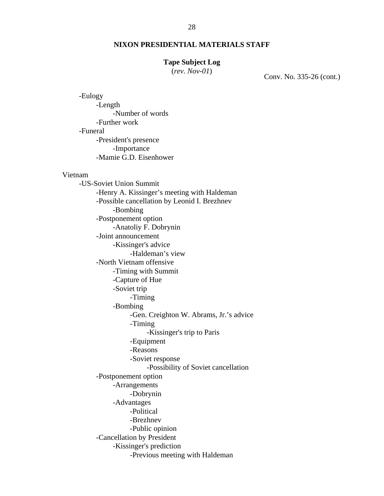#### **Tape Subject Log**

(*rev. Nov-01*) Conv. No. 335-26 (cont.)

-Eulogy -Length -Number of words -Further work -Funeral -President's presence -Importance -Mamie G.D. Eisenhower

#### Vietnam

-US-Soviet Union Summit -Henry A. Kissinger's meeting with Haldeman -Possible cancellation by Leonid I. Brezhnev -Bombing -Postponement option -Anatoliy F. Dobrynin -Joint announcement -Kissinger's advice -Haldeman's view -North Vietnam offensive -Timing with Summit -Capture of Hue -Soviet trip -Timing -Bombing -Gen. Creighton W. Abrams, Jr.'s advice -Timing -Kissinger's trip to Paris -Equipment -Reasons -Soviet response -Possibility of Soviet cancellation -Postponement option -Arrangements -Dobrynin -Advantages -Political -Brezhnev -Public opinion -Cancellation by President -Kissinger's prediction -Previous meeting with Haldeman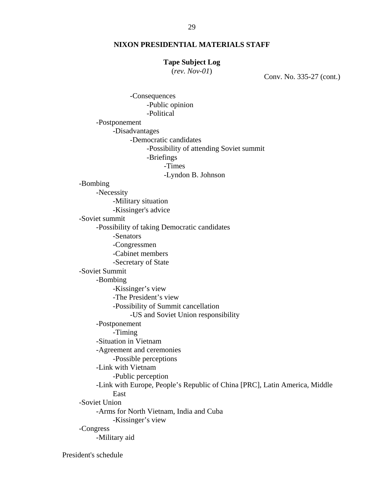#### **Tape Subject Log**

(*rev. Nov-01*) Conv. No. 335-27 (cont.)

 -Consequences -Public opinion -Political -Postponement -Disadvantages -Democratic candidates -Possibility of attending Soviet summit -Briefings -Times -Lyndon B. Johnson -Bombing -Necessity -Military situation -Kissinger's advice -Soviet summit -Possibility of taking Democratic candidates -Senators -Congressmen -Cabinet members -Secretary of State -Soviet Summit -Bombing -Kissinger's view -The President's view -Possibility of Summit cancellation -US and Soviet Union responsibility -Postponement -Timing -Situation in Vietnam -Agreement and ceremonies -Possible perceptions -Link with Vietnam -Public perception -Link with Europe, People's Republic of China [PRC], Latin America, Middle East -Soviet Union -Arms for North Vietnam, India and Cuba -Kissinger's view -Congress -Military aid

President's schedule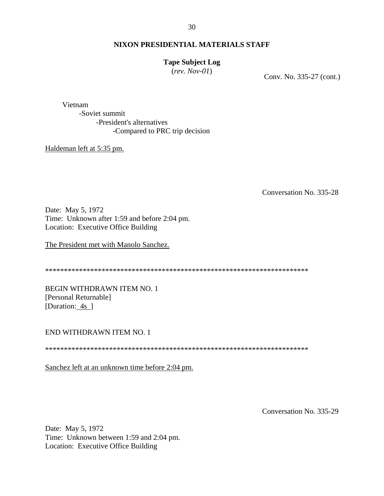#### 30

# **NIXON PRESIDENTIAL MATERIALS STAFF**

#### **Tape Subject Log**

(*rev. Nov-01*) Conv. No. 335-27 (cont.)

Vietnam

-Soviet summit -President's alternatives -Compared to PRC trip decision

#### Haldeman left at 5:35 pm.

Conversation No. 335-28

Date: May 5, 1972 Time: Unknown after 1:59 and before 2:04 pm. Location: Executive Office Building

The President met with Manolo Sanchez.

\*\*\*\*\*\*\*\*\*\*\*\*\*\*\*\*\*\*\*\*\*\*\*\*\*\*\*\*\*\*\*\*\*\*\*\*\*\*\*\*\*\*\*\*\*\*\*\*\*\*\*\*\*\*\*\*\*\*\*\*\*\*\*\*\*\*\*\*\*\*

BEGIN WITHDRAWN ITEM NO. 1 [Personal Returnable] [Duration: 4s ]

# END WITHDRAWN ITEM NO. 1

\*\*\*\*\*\*\*\*\*\*\*\*\*\*\*\*\*\*\*\*\*\*\*\*\*\*\*\*\*\*\*\*\*\*\*\*\*\*\*\*\*\*\*\*\*\*\*\*\*\*\*\*\*\*\*\*\*\*\*\*\*\*\*\*\*\*\*\*\*\*

Sanchez left at an unknown time before 2:04 pm.

Conversation No. 335-29

Date: May 5, 1972 Time: Unknown between 1:59 and 2:04 pm. Location: Executive Office Building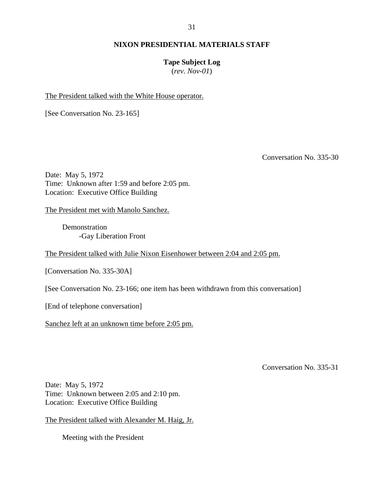# **Tape Subject Log**

(*rev. Nov-01*)

The President talked with the White House operator.

[See Conversation No. 23-165]

Conversation No. 335-30

Date: May 5, 1972 Time: Unknown after 1:59 and before 2:05 pm. Location: Executive Office Building

The President met with Manolo Sanchez.

**Demonstration** -Gay Liberation Front

The President talked with Julie Nixon Eisenhower between 2:04 and 2:05 pm.

[Conversation No. 335-30A]

[See Conversation No. 23-166; one item has been withdrawn from this conversation]

[End of telephone conversation]

Sanchez left at an unknown time before 2:05 pm.

Conversation No. 335-31

Date: May 5, 1972 Time: Unknown between 2:05 and 2:10 pm. Location: Executive Office Building

The President talked with Alexander M. Haig, Jr.

Meeting with the President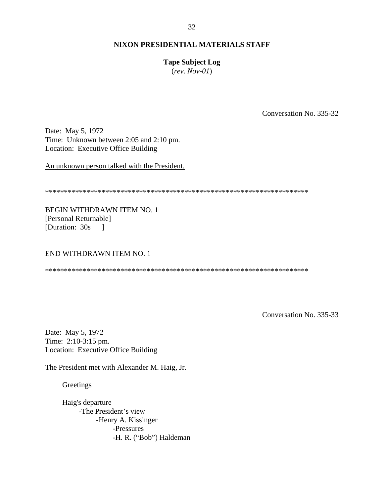# **Tape Subject Log**

(*rev. Nov-01*)

Conversation No. 335-32

Date: May 5, 1972 Time: Unknown between 2:05 and 2:10 pm. Location: Executive Office Building

An unknown person talked with the President.

\*\*\*\*\*\*\*\*\*\*\*\*\*\*\*\*\*\*\*\*\*\*\*\*\*\*\*\*\*\*\*\*\*\*\*\*\*\*\*\*\*\*\*\*\*\*\*\*\*\*\*\*\*\*\*\*\*\*\*\*\*\*\*\*\*\*\*\*\*\*

BEGIN WITHDRAWN ITEM NO. 1 [Personal Returnable] [Duration: 30s ]

## END WITHDRAWN ITEM NO. 1

\*\*\*\*\*\*\*\*\*\*\*\*\*\*\*\*\*\*\*\*\*\*\*\*\*\*\*\*\*\*\*\*\*\*\*\*\*\*\*\*\*\*\*\*\*\*\*\*\*\*\*\*\*\*\*\*\*\*\*\*\*\*\*\*\*\*\*\*\*\*

Conversation No. 335-33

Date: May 5, 1972 Time: 2:10-3:15 pm. Location: Executive Office Building

The President met with Alexander M. Haig, Jr.

Greetings

Haig's departure -The President's view -Henry A. Kissinger -Pressures -H. R. ("Bob") Haldeman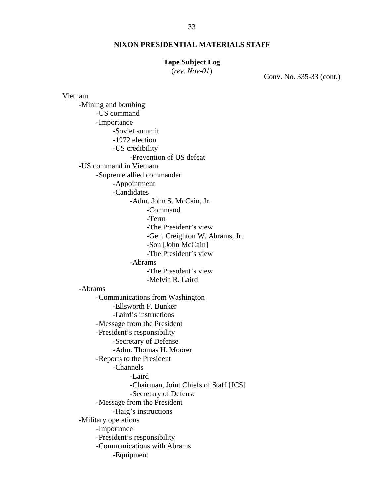#### **Tape Subject Log**

(*rev. Nov-01*) Conv. No. 335-33 (cont.)

Vietnam -Mining and bombing -US command -Importance -Soviet summit -1972 election -US credibility -Prevention of US defeat -US command in Vietnam -Supreme allied commander -Appointment -Candidates -Adm. John S. McCain, Jr. -Command -Term -The President's view -Gen. Creighton W. Abrams, Jr. -Son [John McCain] -The President's view -Abrams -The President's view -Melvin R. Laird -Abrams -Communications from Washington -Ellsworth F. Bunker -Laird's instructions -Message from the President -President's responsibility -Secretary of Defense -Adm. Thomas H. Moorer -Reports to the President -Channels -Laird -Chairman, Joint Chiefs of Staff [JCS] -Secretary of Defense -Message from the President -Haig's instructions -Military operations -Importance -President's responsibility -Communications with Abrams -Equipment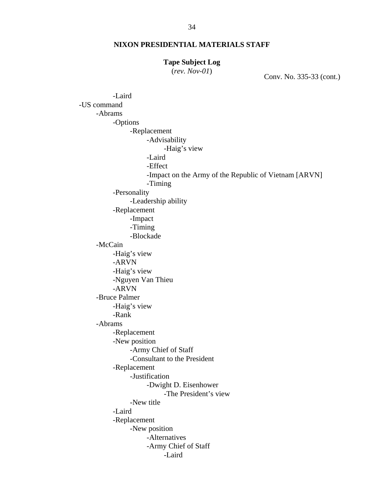# **Tape Subject Log**

(*rev. Nov-01*) Conv. No. 335-33 (cont.)

-Laird -US command -Abrams -Options -Replacement -Advisability -Haig's view -Laird -Effect -Impact on the Army of the Republic of Vietnam [ARVN] -Timing -Personality -Leadership ability -Replacement -Impact -Timing -Blockade -McCain -Haig's view -ARVN -Haig's view -Nguyen Van Thieu -ARVN -Bruce Palmer -Haig's view -Rank -Abrams -Replacement -New position -Army Chief of Staff -Consultant to the President -Replacement -Justification -Dwight D. Eisenhower -The President's view -New title -Laird -Replacement -New position -Alternatives -Army Chief of Staff -Laird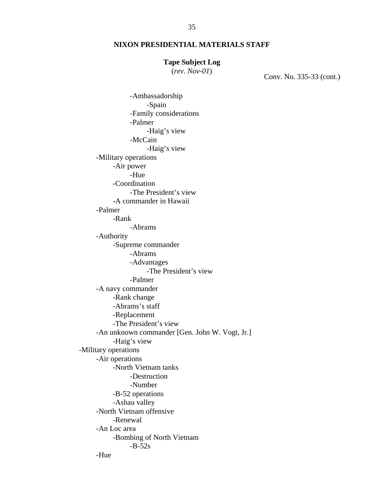# **Tape Subject Log**

(*rev. Nov-01*) Conv. No. 335-33 (cont.)

 -Ambassadorship -Spain -Family considerations -Palmer -Haig's view -McCain -Haig's view -Military operations -Air power -Hue -Coordination -The President's view -A commander in Hawaii -Palmer -Rank -Abrams -Authority -Supreme commander -Abrams -Advantages -The President's view -Palmer -A navy commander -Rank change -Abrams's staff -Replacement -The President's view -An unknown commander [Gen. John W. Vogt, Jr.] -Haig's view -Military operations -Air operations -North Vietnam tanks -Destruction -Number -B-52 operations -Ashau valley -North Vietnam offensive -Renewal -An Loc area -Bombing of North Vietnam  $-B-52s$ -Hue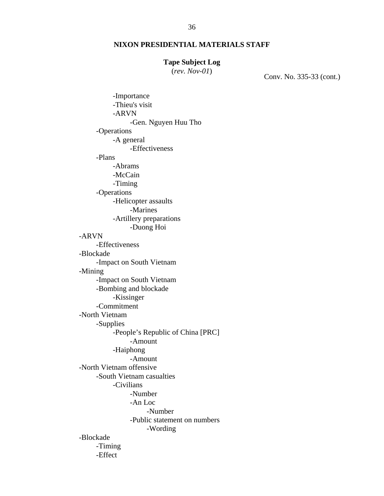# **Tape Subject Log**

(*rev. Nov-01*) Conv. No. 335-33 (cont.)

-Importance -Thieu's visit -ARVN -Gen. Nguyen Huu Tho -Operations -A general -Effectiveness -Plans -Abrams -McCain -Timing -Operations -Helicopter assaults -Marines -Artillery preparations -Duong Hoi -ARVN -Effectiveness -Blockade -Impact on South Vietnam -Mining -Impact on South Vietnam -Bombing and blockade -Kissinger -Commitment -North Vietnam -Supplies -People's Republic of China [PRC] -Amount -Haiphong -Amount -North Vietnam offensive -South Vietnam casualties -Civilians -Number -An Loc -Number -Public statement on numbers -Wording -Blockade -Timing -Effect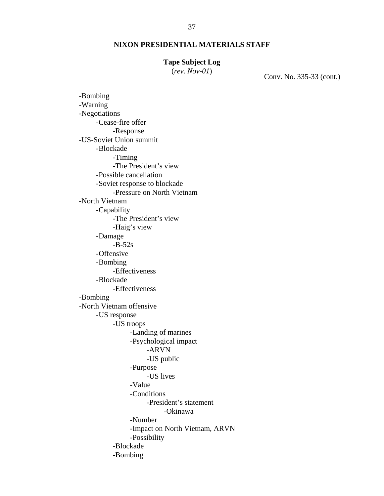# **Tape Subject Log**

(*rev. Nov-01*) Conv. No. 335-33 (cont.)

-Bombing -Warning -Negotiations -Cease-fire offer -Response -US-Soviet Union summit -Blockade -Timing -The President's view -Possible cancellation -Soviet response to blockade -Pressure on North Vietnam -North Vietnam -Capability -The President's view -Haig's view -Damage -B-52s -Offensive -Bombing -Effectiveness -Blockade -Effectiveness -Bombing -North Vietnam offensive -US response -US troops -Landing of marines -Psychological impact -ARVN -US public -Purpose -US lives -Value -Conditions -President's statement -Okinawa -Number -Impact on North Vietnam, ARVN -Possibility -Blockade -Bombing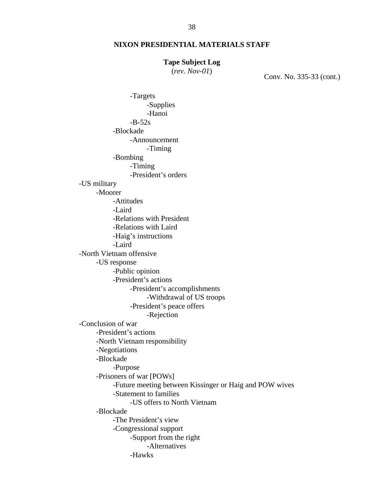#### **Tape Subject Log**

(*rev. Nov-01*) Conv. No. 335-33 (cont.)

 -Targets -Supplies -Hanoi  $-B-52s$ -Blockade -Announcement -Timing -Bombing -Timing -President's orders -US military -Moorer -Attitudes -Laird -Relations with President -Relations with Laird -Haig's instructions -Laird -North Vietnam offensive -US response -Public opinion -President's actions -President's accomplishments -Withdrawal of US troops -President's peace offers -Rejection -Conclusion of war -President's actions -North Vietnam responsibility -Negotiations -Blockade -Purpose -Prisoners of war [POWs] -Future meeting between Kissinger or Haig and POW wives -Statement to families -US offers to North Vietnam -Blockade -The President's view -Congressional support -Support from the right -Alternatives -Hawks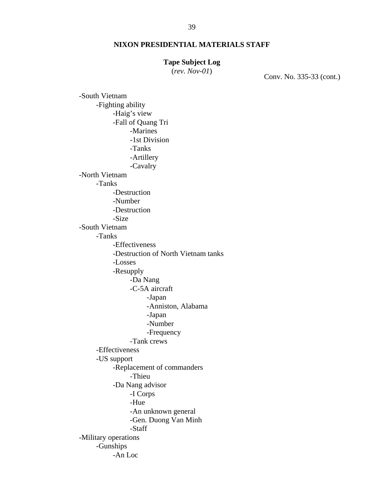# **Tape Subject Log**

(*rev. Nov-01*) Conv. No. 335-33 (cont.)

-South Vietnam -Fighting ability -Haig's view -Fall of Quang Tri -Marines -1st Division -Tanks -Artillery -Cavalry -North Vietnam -Tanks -Destruction -Number -Destruction -Size -South Vietnam -Tanks -Effectiveness -Destruction of North Vietnam tanks -Losses -Resupply -Da Nang -C-5A aircraft -Japan -Anniston, Alabama -Japan -Number -Frequency -Tank crews -Effectiveness -US support -Replacement of commanders -Thieu -Da Nang advisor -I Corps -Hue -An unknown general -Gen. Duong Van Minh -Staff -Military operations -Gunships -An Loc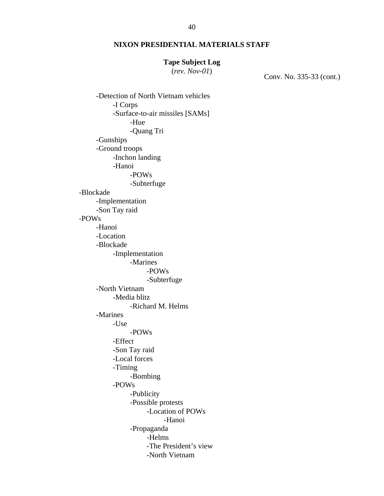# **Tape Subject Log**

(*rev. Nov-01*) Conv. No. 335-33 (cont.)

-Detection of North Vietnam vehicles -I Corps -Surface-to-air missiles [SAMs] -Hue -Quang Tri -Gunships -Ground troops -Inchon landing -Hanoi -POWs -Subterfuge -Blockade -Implementation -Son Tay raid -POWs -Hanoi -Location -Blockade -Implementation -Marines -POWs -Subterfuge -North Vietnam -Media blitz -Richard M. Helms -Marines -Use -POWs -Effect -Son Tay raid -Local forces -Timing -Bombing -POWs -Publicity -Possible protests -Location of POWs -Hanoi -Propaganda -Helms -The President's view -North Vietnam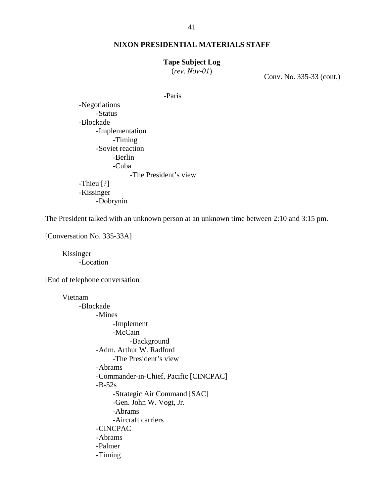# **Tape Subject Log**

(*rev. Nov-01*) Conv. No. 335-33 (cont.)

 -Paris -Negotiations -Status -Blockade -Implementation -Timing -Soviet reaction -Berlin -Cuba -The President's view -Thieu [?] -Kissinger -Dobrynin

The President talked with an unknown person at an unknown time between 2:10 and 3:15 pm.

[Conversation No. 335-33A]

Kissinger -Location

[End of telephone conversation]

## Vietnam

-Blockade -Mines -Implement -McCain -Background -Adm. Arthur W. Radford -The President's view -Abrams -Commander-in-Chief, Pacific [CINCPAC]  $-B-52s$ -Strategic Air Command [SAC] -Gen. John W. Vogt, Jr. -Abrams -Aircraft carriers -CINCPAC -Abrams -Palmer -Timing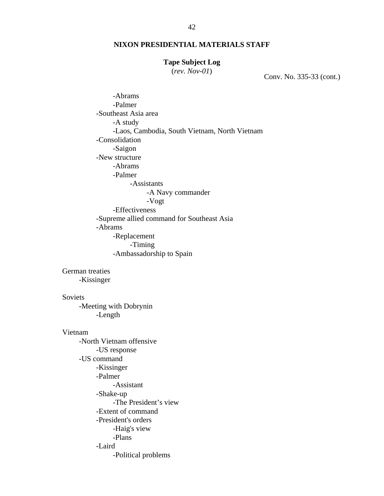# **Tape Subject Log**

(*rev. Nov-01*) Conv. No. 335-33 (cont.)

-Abrams -Palmer -Southeast Asia area -A study -Laos, Cambodia, South Vietnam, North Vietnam -Consolidation -Saigon -New structure -Abrams -Palmer -Assistants -A Navy commander -Vogt -Effectiveness -Supreme allied command for Southeast Asia -Abrams -Replacement -Timing -Ambassadorship to Spain

# German treaties

-Kissinger

# Soviets

-Meeting with Dobrynin -Length

#### Vietnam

-North Vietnam offensive -US response -US command -Kissinger -Palmer -Assistant -Shake-up -The President's view -Extent of command -President's orders -Haig's view -Plans -Laird -Political problems